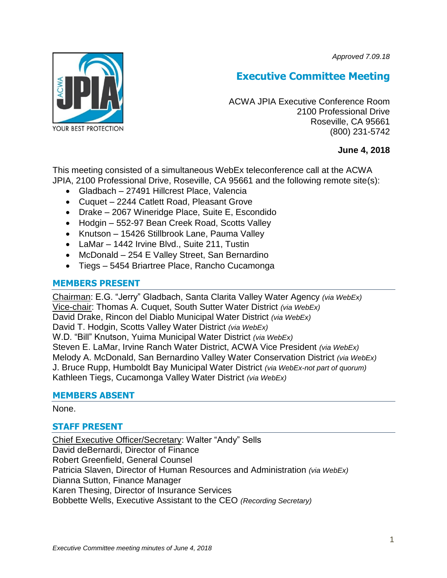*Approved 7.09.18*



# **Executive Committee Meeting**

ACWA JPIA Executive Conference Room 2100 Professional Drive Roseville, CA 95661 (800) 231-5742

## **June 4, 2018**

This meeting consisted of a simultaneous WebEx teleconference call at the ACWA JPIA, 2100 Professional Drive, Roseville, CA 95661 and the following remote site(s):

- Gladbach 27491 Hillcrest Place, Valencia
- Cuquet 2244 Catlett Road, Pleasant Grove
- Drake 2067 Wineridge Place, Suite E, Escondido
- Hodgin 552-97 Bean Creek Road, Scotts Valley
- Knutson 15426 Stillbrook Lane, Pauma Valley
- LaMar 1442 Irvine Blvd., Suite 211, Tustin
- McDonald 254 E Valley Street, San Bernardino
- Tiegs 5454 Briartree Place, Rancho Cucamonga

# **MEMBERS PRESENT**

Chairman: E.G. "Jerry" Gladbach, Santa Clarita Valley Water Agency *(via WebEx)* Vice-chair: Thomas A. Cuquet, South Sutter Water District *(via WebEx)* David Drake, Rincon del Diablo Municipal Water District *(via WebEx)* David T. Hodgin, Scotts Valley Water District *(via WebEx)* W.D. "Bill" Knutson, Yuima Municipal Water District *(via WebEx)* Steven E. LaMar, Irvine Ranch Water District, ACWA Vice President *(via WebEx)* Melody A. McDonald, San Bernardino Valley Water Conservation District *(via WebEx)* J. Bruce Rupp, Humboldt Bay Municipal Water District *(via WebEx-not part of quorum)* Kathleen Tiegs, Cucamonga Valley Water District *(via WebEx)*

## **MEMBERS ABSENT**

#### None.

# **STAFF PRESENT**

Chief Executive Officer/Secretary: Walter "Andy" Sells David deBernardi, Director of Finance Robert Greenfield, General Counsel Patricia Slaven, Director of Human Resources and Administration *(via WebEx)* Dianna Sutton, Finance Manager Karen Thesing, Director of Insurance Services Bobbette Wells, Executive Assistant to the CEO *(Recording Secretary)*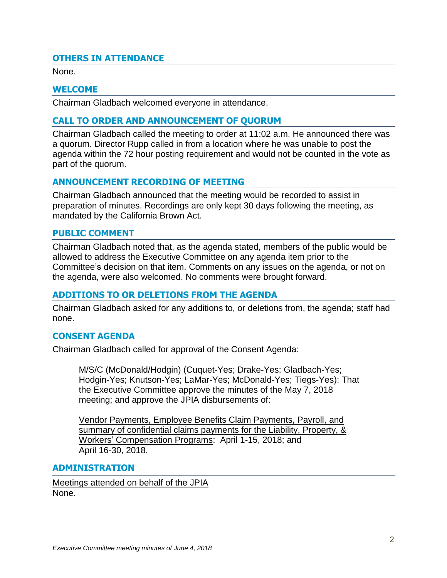# **OTHERS IN ATTENDANCE**

None.

### **WELCOME**

Chairman Gladbach welcomed everyone in attendance.

## **CALL TO ORDER AND ANNOUNCEMENT OF QUORUM**

Chairman Gladbach called the meeting to order at 11:02 a.m. He announced there was a quorum. Director Rupp called in from a location where he was unable to post the agenda within the 72 hour posting requirement and would not be counted in the vote as part of the quorum.

## **ANNOUNCEMENT RECORDING OF MEETING**

Chairman Gladbach announced that the meeting would be recorded to assist in preparation of minutes. Recordings are only kept 30 days following the meeting, as mandated by the California Brown Act.

### **PUBLIC COMMENT**

Chairman Gladbach noted that, as the agenda stated, members of the public would be allowed to address the Executive Committee on any agenda item prior to the Committee's decision on that item. Comments on any issues on the agenda, or not on the agenda, were also welcomed. No comments were brought forward.

## **ADDITIONS TO OR DELETIONS FROM THE AGENDA**

Chairman Gladbach asked for any additions to, or deletions from, the agenda; staff had none.

#### **CONSENT AGENDA**

Chairman Gladbach called for approval of the Consent Agenda:

M/S/C (McDonald/Hodgin) (Cuquet-Yes; Drake-Yes; Gladbach-Yes; Hodgin-Yes; Knutson-Yes; LaMar-Yes; McDonald-Yes; Tiegs-Yes): That the Executive Committee approve the minutes of the May 7, 2018 meeting; and approve the JPIA disbursements of:

Vendor Payments, Employee Benefits Claim Payments, Payroll, and summary of confidential claims payments for the Liability, Property, & Workers' Compensation Programs: April 1-15, 2018; and April 16-30, 2018.

#### **ADMINISTRATION**

Meetings attended on behalf of the JPIA None.